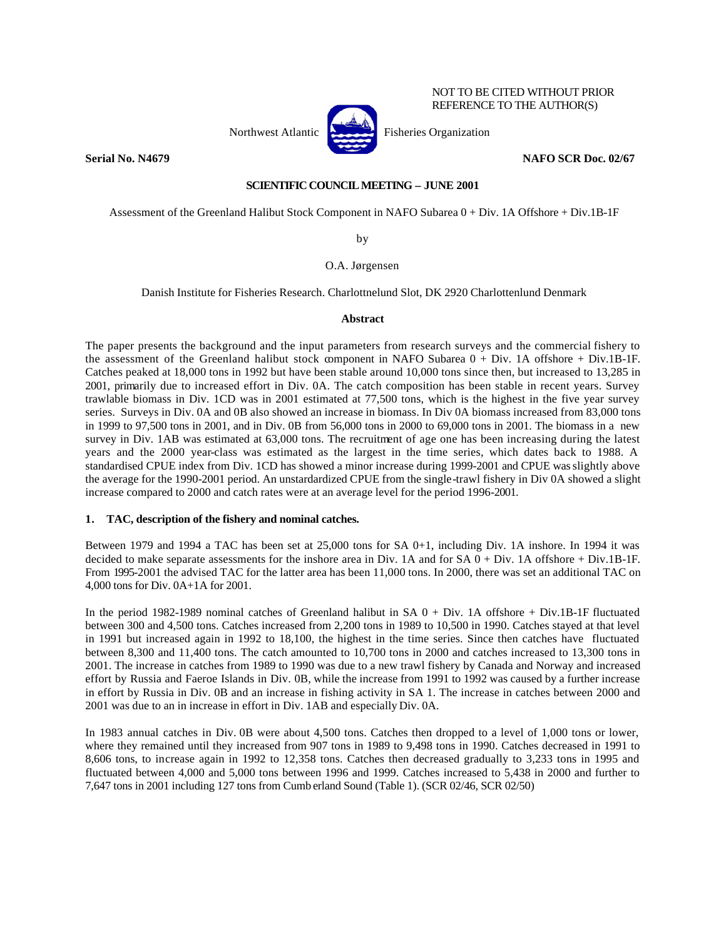

NOT TO BE CITED WITHOUT PRIOR REFERENCE TO THE AUTHOR(S)

# **Serial No. N4679 NAFO SCR Doc. 02/67**

## **SCIENTIFIC COUNCIL MEETING – JUNE 2001**

Assessment of the Greenland Halibut Stock Component in NAFO Subarea 0 + Div. 1A Offshore + Div.1B-1F

by

# O.A. Jørgensen

Danish Institute for Fisheries Research. Charlottnelund Slot, DK 2920 Charlottenlund Denmark

#### **Abstract**

The paper presents the background and the input parameters from research surveys and the commercial fishery to the assessment of the Greenland halibut stock component in NAFO Subarea 0 + Div. 1A offshore + Div.1B-1F. Catches peaked at 18,000 tons in 1992 but have been stable around 10,000 tons since then, but increased to 13,285 in 2001, primarily due to increased effort in Div. 0A. The catch composition has been stable in recent years. Survey trawlable biomass in Div. 1CD was in 2001 estimated at 77,500 tons, which is the highest in the five year survey series. Surveys in Div. 0A and 0B also showed an increase in biomass. In Div 0A biomass increased from 83,000 tons in 1999 to 97,500 tons in 2001, and in Div. 0B from 56,000 tons in 2000 to 69,000 tons in 2001. The biomass in a new survey in Div. 1AB was estimated at 63,000 tons. The recruitment of age one has been increasing during the latest years and the 2000 year-class was estimated as the largest in the time series, which dates back to 1988. A standardised CPUE index from Div. 1CD has showed a minor increase during 1999-2001 and CPUE was slightly above the average for the 1990-2001 period. An unstardardized CPUE from the single-trawl fishery in Div 0A showed a slight increase compared to 2000 and catch rates were at an average level for the period 1996-2001.

## **1. TAC, description of the fishery and nominal catches.**

Between 1979 and 1994 a TAC has been set at 25,000 tons for SA 0+1, including Div. 1A inshore. In 1994 it was decided to make separate assessments for the inshore area in Div. 1A and for SA 0 + Div. 1A offshore + Div.1B-1F. From 1995-2001 the advised TAC for the latter area has been 11,000 tons. In 2000, there was set an additional TAC on 4,000 tons for Div. 0A+1A for 2001.

In the period 1982-1989 nominal catches of Greenland halibut in SA 0 + Div. 1A offshore + Div.1B-1F fluctuated between 300 and 4,500 tons. Catches increased from 2,200 tons in 1989 to 10,500 in 1990. Catches stayed at that level in 1991 but increased again in 1992 to 18,100, the highest in the time series. Since then catches have fluctuated between 8,300 and 11,400 tons. The catch amounted to 10,700 tons in 2000 and catches increased to 13,300 tons in 2001. The increase in catches from 1989 to 1990 was due to a new trawl fishery by Canada and Norway and increased effort by Russia and Faeroe Islands in Div. 0B, while the increase from 1991 to 1992 was caused by a further increase in effort by Russia in Div. 0B and an increase in fishing activity in SA 1. The increase in catches between 2000 and 2001 was due to an in increase in effort in Div. 1AB and especially Div. 0A.

In 1983 annual catches in Div. 0B were about 4,500 tons. Catches then dropped to a level of 1,000 tons or lower, where they remained until they increased from 907 tons in 1989 to 9,498 tons in 1990. Catches decreased in 1991 to 8,606 tons, to increase again in 1992 to 12,358 tons. Catches then decreased gradually to 3,233 tons in 1995 and fluctuated between 4,000 and 5,000 tons between 1996 and 1999. Catches increased to 5,438 in 2000 and further to 7,647 tons in 2001 including 127 tons from Cumb erland Sound (Table 1). (SCR 02/46, SCR 02/50)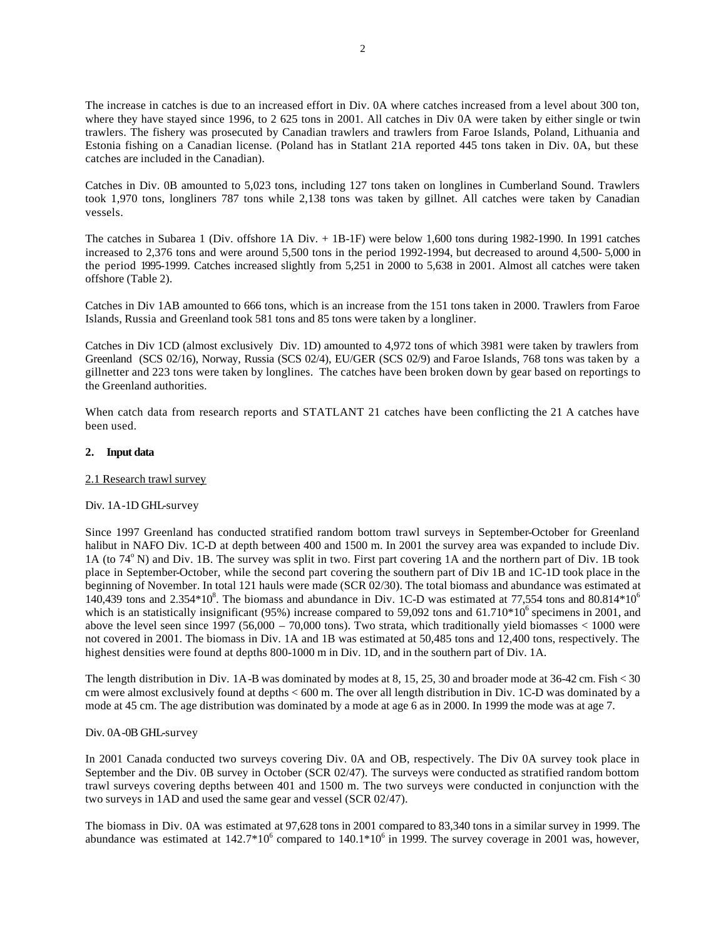The increase in catches is due to an increased effort in Div. 0A where catches increased from a level about 300 ton, where they have stayed since 1996, to 2 625 tons in 2001. All catches in Div 0A were taken by either single or twin trawlers. The fishery was prosecuted by Canadian trawlers and trawlers from Faroe Islands, Poland, Lithuania and Estonia fishing on a Canadian license. (Poland has in Statlant 21A reported 445 tons taken in Div. 0A, but these catches are included in the Canadian).

Catches in Div. 0B amounted to 5,023 tons, including 127 tons taken on longlines in Cumberland Sound. Trawlers took 1,970 tons, longliners 787 tons while 2,138 tons was taken by gillnet. All catches were taken by Canadian vessels.

The catches in Subarea 1 (Div. offshore 1A Div. + 1B-1F) were below 1,600 tons during 1982-1990. In 1991 catches increased to 2,376 tons and were around 5,500 tons in the period 1992-1994, but decreased to around 4,500- 5,000 in the period 1995-1999. Catches increased slightly from 5,251 in 2000 to 5,638 in 2001. Almost all catches were taken offshore (Table 2).

Catches in Div 1AB amounted to 666 tons, which is an increase from the 151 tons taken in 2000. Trawlers from Faroe Islands, Russia and Greenland took 581 tons and 85 tons were taken by a longliner.

Catches in Div 1CD (almost exclusively Div. 1D) amounted to 4,972 tons of which 3981 were taken by trawlers from Greenland (SCS 02/16), Norway, Russia (SCS 02/4), EU/GER (SCS 02/9) and Faroe Islands, 768 tons was taken by a gillnetter and 223 tons were taken by longlines. The catches have been broken down by gear based on reportings to the Greenland authorities.

When catch data from research reports and STATLANT 21 catches have been conflicting the 21 A catches have been used.

## **2. Input data**

#### 2.1 Research trawl survey

## Div. 1A-1D GHL-survey

Since 1997 Greenland has conducted stratified random bottom trawl surveys in September-October for Greenland halibut in NAFO Div. 1C-D at depth between 400 and 1500 m. In 2001 the survey area was expanded to include Div. 1A (to  $74^{\circ}$  N) and Div. 1B. The survey was split in two. First part covering 1A and the northern part of Div. 1B took place in September-October, while the second part covering the southern part of Div 1B and 1C-1D took place in the beginning of November. In total 121 hauls were made (SCR 02/30). The total biomass and abundance was estimated at 140,439 tons and 2.354 $*10^8$ . The biomass and abundance in Div. 1C-D was estimated at 77,554 tons and 80.814 $*10^6$ which is an statistically insignificant (95%) increase compared to 59,092 tons and  $61.710*10<sup>6</sup>$  specimens in 2001, and above the level seen since  $1997 (56,000 - 70,000$  tons). Two strata, which traditionally yield biomasses < 1000 were not covered in 2001. The biomass in Div. 1A and 1B was estimated at 50,485 tons and 12,400 tons, respectively. The highest densities were found at depths 800-1000 m in Div. 1D, and in the southern part of Div. 1A.

The length distribution in Div. 1A-B was dominated by modes at 8, 15, 25, 30 and broader mode at 36-42 cm. Fish < 30 cm were almost exclusively found at depths < 600 m. The over all length distribution in Div. 1C-D was dominated by a mode at 45 cm. The age distribution was dominated by a mode at age 6 as in 2000. In 1999 the mode was at age 7.

#### Div. 0A-0B GHL-survey

In 2001 Canada conducted two surveys covering Div. 0A and OB, respectively. The Div 0A survey took place in September and the Div. 0B survey in October (SCR 02/47). The surveys were conducted as stratified random bottom trawl surveys covering depths between 401 and 1500 m. The two surveys were conducted in conjunction with the two surveys in 1AD and used the same gear and vessel (SCR 02/47).

The biomass in Div. 0A was estimated at 97,628 tons in 2001 compared to 83,340 tons in a similar survey in 1999. The abundance was estimated at  $142.7*10^6$  compared to  $140.1*10^6$  in 1999. The survey coverage in 2001 was, however,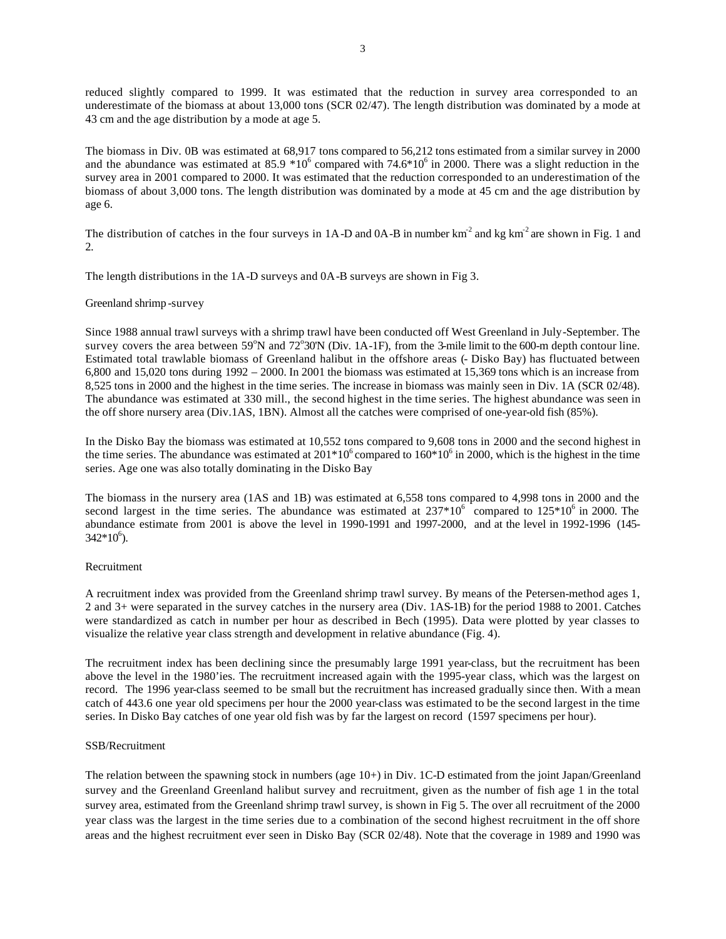reduced slightly compared to 1999. It was estimated that the reduction in survey area corresponded to an underestimate of the biomass at about 13,000 tons (SCR 02/47). The length distribution was dominated by a mode at 43 cm and the age distribution by a mode at age 5.

The biomass in Div. 0B was estimated at 68,917 tons compared to 56,212 tons estimated from a similar survey in 2000 and the abundance was estimated at  $85.9 * 10^6$  compared with  $74.6 * 10^6$  in 2000. There was a slight reduction in the survey area in 2001 compared to 2000. It was estimated that the reduction corresponded to an underestimation of the biomass of about 3,000 tons. The length distribution was dominated by a mode at 45 cm and the age distribution by age 6.

The distribution of catches in the four surveys in  $1A-D$  and  $0A-B$  in number km<sup>-2</sup> and kg km<sup>-2</sup> are shown in Fig. 1 and 2.

The length distributions in the 1A-D surveys and 0A-B surveys are shown in Fig 3.

## Greenland shrimp -survey

Since 1988 annual trawl surveys with a shrimp trawl have been conducted off West Greenland in July-September. The survey covers the area between  $59^{\circ}$ N and  $72^{\circ}30$ N (Div. 1A-1F), from the 3-mile limit to the 600-m depth contour line. Estimated total trawlable biomass of Greenland halibut in the offshore areas (- Disko Bay) has fluctuated between 6,800 and 15,020 tons during 1992 – 2000. In 2001 the biomass was estimated at 15,369 tons which is an increase from 8,525 tons in 2000 and the highest in the time series. The increase in biomass was mainly seen in Div. 1A (SCR 02/48). The abundance was estimated at 330 mill., the second highest in the time series. The highest abundance was seen in the off shore nursery area (Div.1AS, 1BN). Almost all the catches were comprised of one-year-old fish (85%).

In the Disko Bay the biomass was estimated at 10,552 tons compared to 9,608 tons in 2000 and the second highest in the time series. The abundance was estimated at  $201*10^6$  compared to  $160*10^6$  in 2000, which is the highest in the time series. Age one was also totally dominating in the Disko Bay

The biomass in the nursery area (1AS and 1B) was estimated at 6,558 tons compared to 4,998 tons in 2000 and the second largest in the time series. The abundance was estimated at  $237*10^6$  compared to  $125*10^6$  in 2000. The abundance estimate from 2001 is above the level in 1990-1991 and 1997-2000, and at the level in 1992-1996 (145-  $342*10^6$ ).

## Recruitment

A recruitment index was provided from the Greenland shrimp trawl survey. By means of the Petersen-method ages 1, 2 and 3+ were separated in the survey catches in the nursery area (Div. 1AS-1B) for the period 1988 to 2001. Catches were standardized as catch in number per hour as described in Bech (1995). Data were plotted by year classes to visualize the relative year class strength and development in relative abundance (Fig. 4).

The recruitment index has been declining since the presumably large 1991 year-class, but the recruitment has been above the level in the 1980'ies. The recruitment increased again with the 1995-year class, which was the largest on record. The 1996 year-class seemed to be small but the recruitment has increased gradually since then. With a mean catch of 443.6 one year old specimens per hour the 2000 year-class was estimated to be the second largest in the time series. In Disko Bay catches of one year old fish was by far the largest on record (1597 specimens per hour).

#### SSB/Recruitment

The relation between the spawning stock in numbers (age 10+) in Div. 1C-D estimated from the joint Japan/Greenland survey and the Greenland Greenland halibut survey and recruitment, given as the number of fish age 1 in the total survey area, estimated from the Greenland shrimp trawl survey, is shown in Fig 5. The over all recruitment of the 2000 year class was the largest in the time series due to a combination of the second highest recruitment in the off shore areas and the highest recruitment ever seen in Disko Bay (SCR 02/48). Note that the coverage in 1989 and 1990 was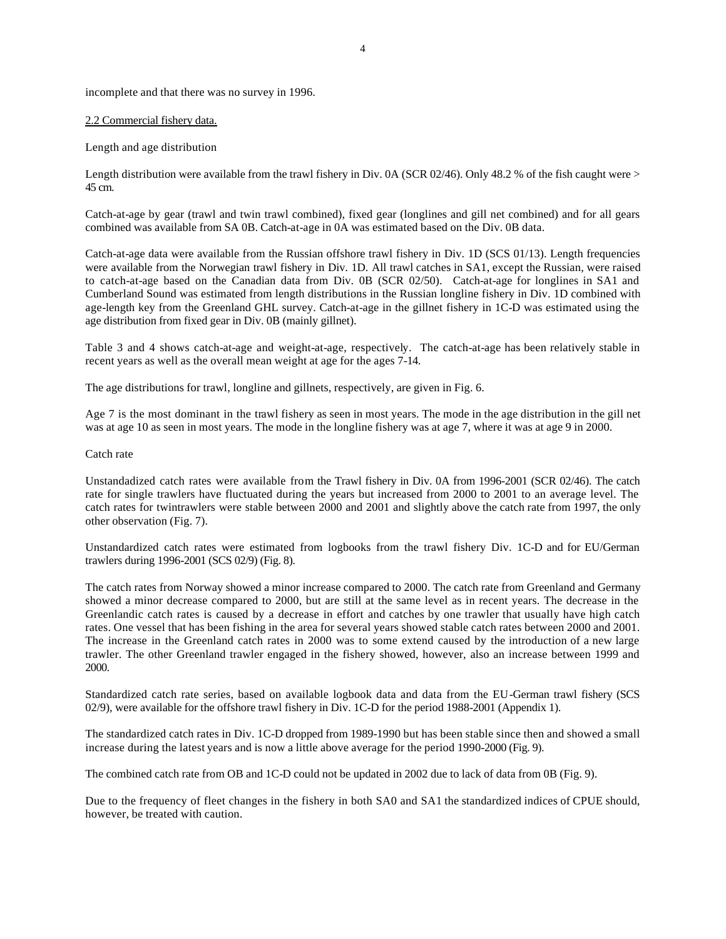incomplete and that there was no survey in 1996.

## 2.2 Commercial fishery data.

Length and age distribution

Length distribution were available from the trawl fishery in Div. 0A (SCR 02/46). Only 48.2 % of the fish caught were > 45 cm.

Catch-at-age by gear (trawl and twin trawl combined), fixed gear (longlines and gill net combined) and for all gears combined was available from SA 0B. Catch-at-age in 0A was estimated based on the Div. 0B data.

Catch-at-age data were available from the Russian offshore trawl fishery in Div. 1D (SCS 01/13). Length frequencies were available from the Norwegian trawl fishery in Div. 1D. All trawl catches in SA1, except the Russian, were raised to catch-at-age based on the Canadian data from Div. 0B (SCR 02/50). Catch-at-age for longlines in SA1 and Cumberland Sound was estimated from length distributions in the Russian longline fishery in Div. 1D combined with age-length key from the Greenland GHL survey. Catch-at-age in the gillnet fishery in 1C-D was estimated using the age distribution from fixed gear in Div. 0B (mainly gillnet).

Table 3 and 4 shows catch-at-age and weight-at-age, respectively. The catch-at-age has been relatively stable in recent years as well as the overall mean weight at age for the ages 7-14.

The age distributions for trawl, longline and gillnets, respectively, are given in Fig. 6.

Age 7 is the most dominant in the trawl fishery as seen in most years. The mode in the age distribution in the gill net was at age 10 as seen in most years. The mode in the longline fishery was at age 7, where it was at age 9 in 2000.

## Catch rate

Unstandadized catch rates were available from the Trawl fishery in Div. 0A from 1996-2001 (SCR 02/46). The catch rate for single trawlers have fluctuated during the years but increased from 2000 to 2001 to an average level. The catch rates for twintrawlers were stable between 2000 and 2001 and slightly above the catch rate from 1997, the only other observation (Fig. 7).

Unstandardized catch rates were estimated from logbooks from the trawl fishery Div. 1C-D and for EU/German trawlers during 1996-2001 (SCS 02/9) (Fig. 8).

The catch rates from Norway showed a minor increase compared to 2000. The catch rate from Greenland and Germany showed a minor decrease compared to 2000, but are still at the same level as in recent years. The decrease in the Greenlandic catch rates is caused by a decrease in effort and catches by one trawler that usually have high catch rates. One vessel that has been fishing in the area for several years showed stable catch rates between 2000 and 2001. The increase in the Greenland catch rates in 2000 was to some extend caused by the introduction of a new large trawler. The other Greenland trawler engaged in the fishery showed, however, also an increase between 1999 and 2000.

Standardized catch rate series, based on available logbook data and data from the EU-German trawl fishery (SCS 02/9), were available for the offshore trawl fishery in Div. 1C-D for the period 1988-2001 (Appendix 1).

The standardized catch rates in Div. 1C-D dropped from 1989-1990 but has been stable since then and showed a small increase during the latest years and is now a little above average for the period 1990-2000 (Fig. 9).

The combined catch rate from OB and 1C-D could not be updated in 2002 due to lack of data from 0B (Fig. 9).

Due to the frequency of fleet changes in the fishery in both SA0 and SA1 the standardized indices of CPUE should, however, be treated with caution.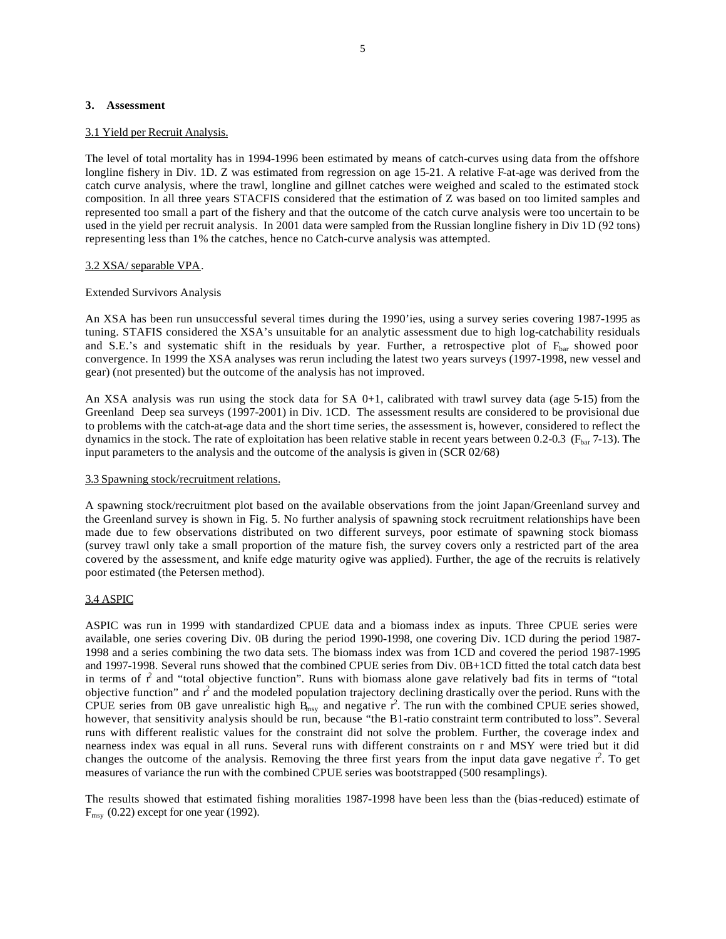## **3. Assessment**

#### 3.1 Yield per Recruit Analysis.

The level of total mortality has in 1994-1996 been estimated by means of catch-curves using data from the offshore longline fishery in Div. 1D. Z was estimated from regression on age 15-21. A relative F-at-age was derived from the catch curve analysis, where the trawl, longline and gillnet catches were weighed and scaled to the estimated stock composition. In all three years STACFIS considered that the estimation of Z was based on too limited samples and represented too small a part of the fishery and that the outcome of the catch curve analysis were too uncertain to be used in the yield per recruit analysis. In 2001 data were sampled from the Russian longline fishery in Div 1D (92 tons) representing less than 1% the catches, hence no Catch-curve analysis was attempted.

## 3.2 XSA/ separable VPA.

## Extended Survivors Analysis

An XSA has been run unsuccessful several times during the 1990'ies, using a survey series covering 1987-1995 as tuning. STAFIS considered the XSA's unsuitable for an analytic assessment due to high log-catchability residuals and S.E.'s and systematic shift in the residuals by year. Further, a retrospective plot of  $F_{bar}$  showed poor convergence. In 1999 the XSA analyses was rerun including the latest two years surveys (1997-1998, new vessel and gear) (not presented) but the outcome of the analysis has not improved.

An XSA analysis was run using the stock data for SA 0+1, calibrated with trawl survey data (age 5-15) from the Greenland Deep sea surveys (1997-2001) in Div. 1CD. The assessment results are considered to be provisional due to problems with the catch-at-age data and the short time series, the assessment is, however, considered to reflect the dynamics in the stock. The rate of exploitation has been relative stable in recent years between 0.2-0.3 ( $F_{bar}$ 7-13). The input parameters to the analysis and the outcome of the analysis is given in (SCR 02/68)

#### 3.3 Spawning stock/recruitment relations.

A spawning stock/recruitment plot based on the available observations from the joint Japan/Greenland survey and the Greenland survey is shown in Fig. 5. No further analysis of spawning stock recruitment relationships have been made due to few observations distributed on two different surveys, poor estimate of spawning stock biomass (survey trawl only take a small proportion of the mature fish, the survey covers only a restricted part of the area covered by the assessment, and knife edge maturity ogive was applied). Further, the age of the recruits is relatively poor estimated (the Petersen method).

## 3.4 ASPIC

ASPIC was run in 1999 with standardized CPUE data and a biomass index as inputs. Three CPUE series were available, one series covering Div. 0B during the period 1990-1998, one covering Div. 1CD during the period 1987- 1998 and a series combining the two data sets. The biomass index was from 1CD and covered the period 1987-1995 and 1997-1998. Several runs showed that the combined CPUE series from Div. 0B+1CD fitted the total catch data best in terms of  $r^2$  and "total objective function". Runs with biomass alone gave relatively bad fits in terms of "total objective function" and  $r^2$  and the modeled population trajectory declining drastically over the period. Runs with the CPUE series from 0B gave unrealistic high  $\overline{B}_{msy}$  and negative  $r^2$ . The run with the combined CPUE series showed, however, that sensitivity analysis should be run, because "the B1-ratio constraint term contributed to loss". Several runs with different realistic values for the constraint did not solve the problem. Further, the coverage index and nearness index was equal in all runs. Several runs with different constraints on r and MSY were tried but it did changes the outcome of the analysis. Removing the three first years from the input data gave negative  $r^2$ . To get measures of variance the run with the combined CPUE series was bootstrapped (500 resamplings).

The results showed that estimated fishing moralities 1987-1998 have been less than the (bias-reduced) estimate of  $F_{\text{msy}}$  (0.22) except for one year (1992).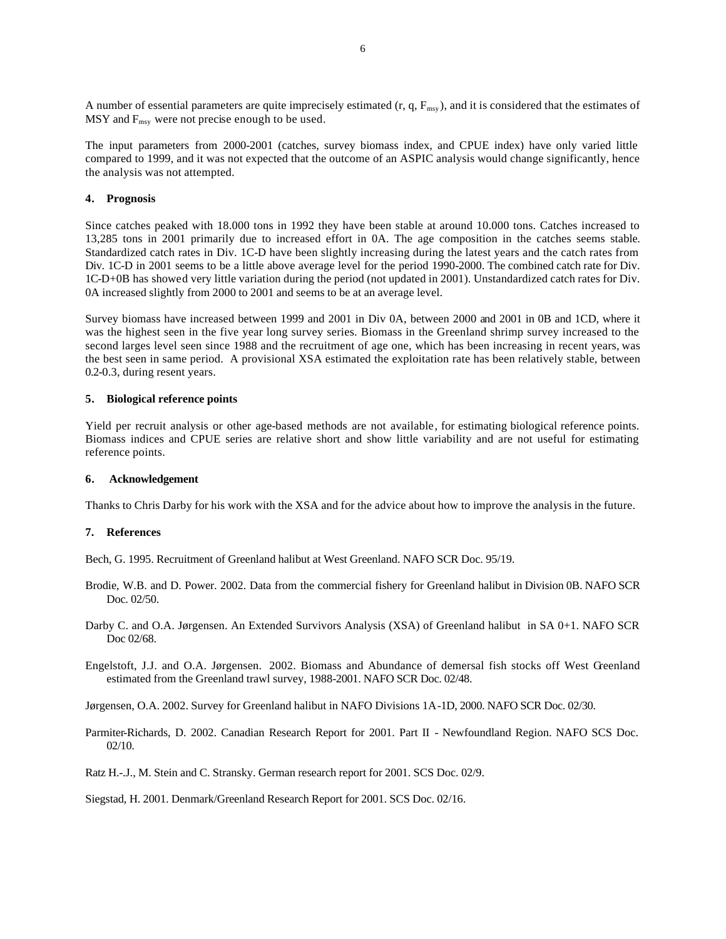A number of essential parameters are quite imprecisely estimated  $(r, q, F_{\text{msy}})$ , and it is considered that the estimates of  $MSY$  and  $F_{msy}$  were not precise enough to be used.

The input parameters from 2000-2001 (catches, survey biomass index, and CPUE index) have only varied little compared to 1999, and it was not expected that the outcome of an ASPIC analysis would change significantly, hence the analysis was not attempted.

## **4. Prognosis**

Since catches peaked with 18.000 tons in 1992 they have been stable at around 10.000 tons. Catches increased to 13,285 tons in 2001 primarily due to increased effort in 0A. The age composition in the catches seems stable. Standardized catch rates in Div. 1C-D have been slightly increasing during the latest years and the catch rates from Div. 1C-D in 2001 seems to be a little above average level for the period 1990-2000. The combined catch rate for Div. 1C-D+0B has showed very little variation during the period (not updated in 2001). Unstandardized catch rates for Div. 0A increased slightly from 2000 to 2001 and seems to be at an average level.

Survey biomass have increased between 1999 and 2001 in Div 0A, between 2000 and 2001 in 0B and 1CD, where it was the highest seen in the five year long survey series. Biomass in the Greenland shrimp survey increased to the second larges level seen since 1988 and the recruitment of age one, which has been increasing in recent years, was the best seen in same period. A provisional XSA estimated the exploitation rate has been relatively stable, between 0.2-0.3, during resent years.

#### **5. Biological reference points**

Yield per recruit analysis or other age-based methods are not available, for estimating biological reference points. Biomass indices and CPUE series are relative short and show little variability and are not useful for estimating reference points.

#### **6. Acknowledgement**

Thanks to Chris Darby for his work with the XSA and for the advice about how to improve the analysis in the future.

#### **7. References**

Bech, G. 1995. Recruitment of Greenland halibut at West Greenland. NAFO SCR Doc. 95/19.

- Brodie, W.B. and D. Power. 2002. Data from the commercial fishery for Greenland halibut in Division 0B. NAFO SCR Doc. 02/50.
- Darby C. and O.A. Jørgensen. An Extended Survivors Analysis (XSA) of Greenland halibut in SA 0+1. NAFO SCR Doc 02/68.
- Engelstoft, J.J. and O.A. Jørgensen. 2002. Biomass and Abundance of demersal fish stocks off West Greenland estimated from the Greenland trawl survey, 1988-2001. NAFO SCR Doc. 02/48.

Jørgensen, O.A. 2002. Survey for Greenland halibut in NAFO Divisions 1A-1D, 2000. NAFO SCR Doc. 02/30.

- Parmiter-Richards, D. 2002. Canadian Research Report for 2001. Part II Newfoundland Region. NAFO SCS Doc. 02/10.
- Ratz H.-.J., M. Stein and C. Stransky. German research report for 2001. SCS Doc. 02/9.

Siegstad, H. 2001. Denmark/Greenland Research Report for 2001. SCS Doc. 02/16.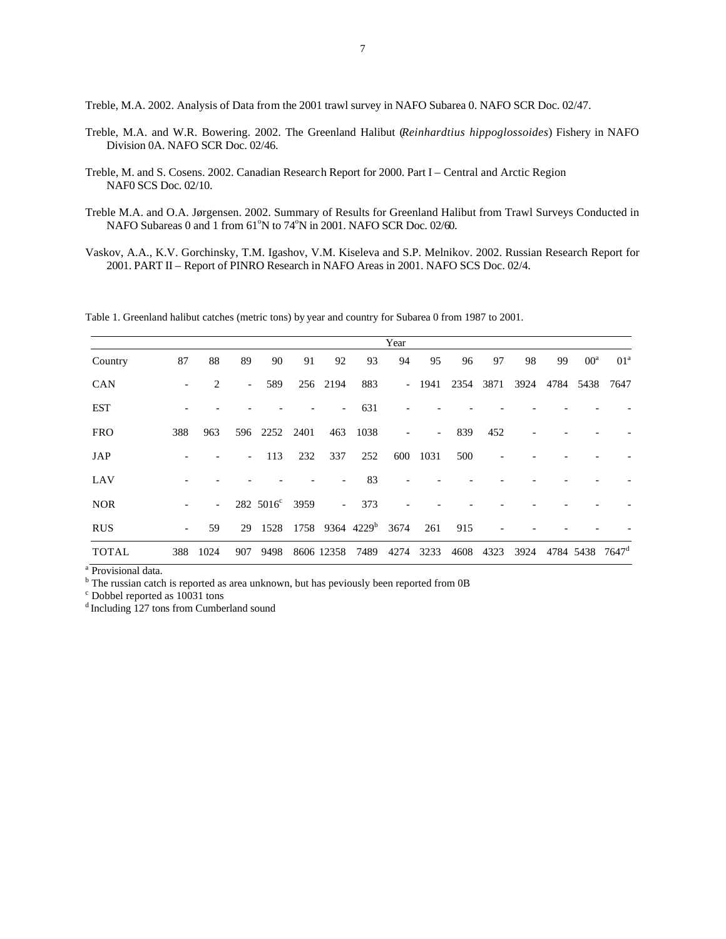Treble, M.A. 2002. Analysis of Data from the 2001 trawl survey in NAFO Subarea 0. NAFO SCR Doc. 02/47.

- Treble, M.A. and W.R. Bowering. 2002. The Greenland Halibut (*Reinhardtius hippoglossoides*) Fishery in NAFO Division 0A. NAFO SCR Doc. 02/46.
- Treble, M. and S. Cosens. 2002. Canadian Research Report for 2000. Part I Central and Arctic Region NAF0 SCS Doc. 02/10.
- Treble M.A. and O.A. Jørgensen. 2002. Summary of Results for Greenland Halibut from Trawl Surveys Conducted in NAFO Subareas 0 and 1 from 61°N to 74°N in 2001. NAFO SCR Doc. 02/60.
- Vaskov, A.A., K.V. Gorchinsky, T.M. Igashov, V.M. Kiseleva and S.P. Melnikov. 2002. Russian Research Report for 2001. PART II – Report of PINRO Research in NAFO Areas in 2001. NAFO SCS Doc. 02/4.

Table 1. Greenland halibut catches (metric tons) by year and country for Subarea 0 from 1987 to 2001.

|              |                          |                          |                          |                            |      |                |                                  | Year |                          |      |      |      |      |                             |                 |
|--------------|--------------------------|--------------------------|--------------------------|----------------------------|------|----------------|----------------------------------|------|--------------------------|------|------|------|------|-----------------------------|-----------------|
| Country      | 87                       | 88                       | 89                       | 90                         | 91   | 92             | 93                               | 94   | 95                       | 96   | 97   | 98   | 99   | $00^a$                      | 01 <sup>a</sup> |
| CAN          |                          | $\overline{c}$           |                          | 589                        |      | 256 2194       | 883                              |      | $-1941$                  | 2354 | 3871 | 3924 | 4784 | 5438                        | 7647            |
| <b>EST</b>   |                          |                          |                          |                            |      |                | 631                              |      |                          |      |      |      |      |                             |                 |
| <b>FRO</b>   | 388                      | 963                      | 596                      | 2252                       | 2401 | 463            | 1038                             |      | $\overline{\phantom{a}}$ | 839  | 452  |      |      |                             |                 |
| JAP          |                          |                          | $\overline{\phantom{a}}$ | 113                        | 232  | 337            | 252                              | 600  | 1031                     | 500  |      |      |      |                             |                 |
| LAV          |                          |                          |                          |                            |      |                | 83                               |      |                          |      |      |      |      |                             |                 |
| <b>NOR</b>   |                          | $\overline{\phantom{a}}$ |                          | 282 5016 <sup>c</sup> 3959 |      | $\blacksquare$ | 373                              |      |                          |      |      |      |      |                             |                 |
| <b>RUS</b>   | $\overline{\phantom{a}}$ | 59                       | 29                       | 1528                       |      |                | 1758 9364 4229 <sup>b</sup> 3674 |      | 261                      | 915  |      |      |      |                             |                 |
| <b>TOTAL</b> | 388                      | 1024                     | 907                      | 9498                       |      | 8606 12358     | 7489                             | 4274 | 3233                     | 4608 | 4323 | 3924 |      | 4784 5438 7647 <sup>d</sup> |                 |

<sup>a</sup> Provisional data.

<sup>b</sup> The russian catch is reported as area unknown, but has peviously been reported from 0B

c Dobbel reported as 10031 tons

<sup>d</sup>Including 127 tons from Cumberland sound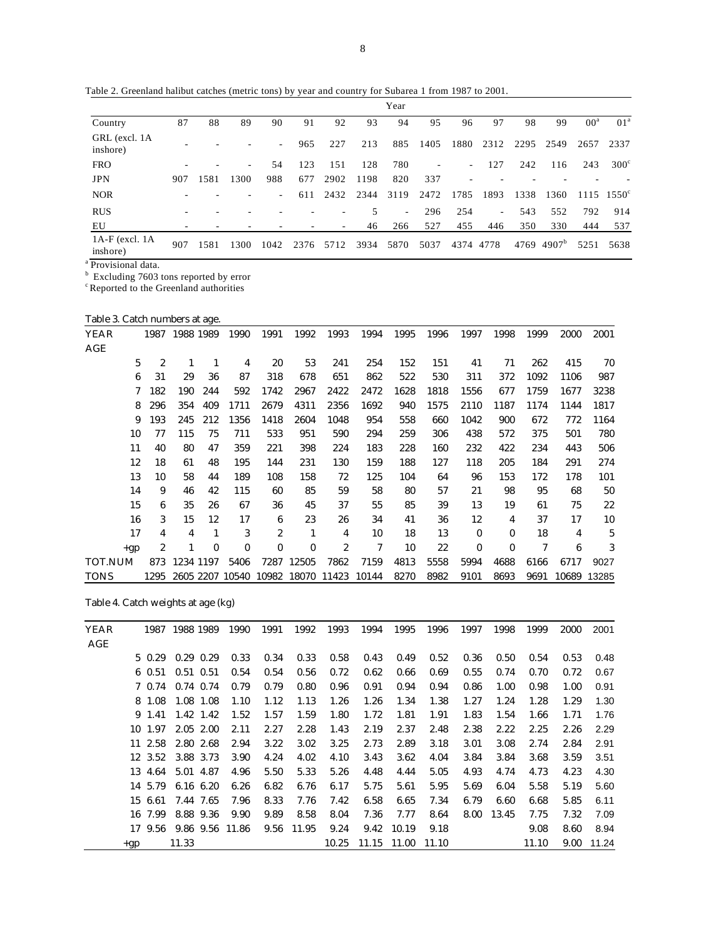Table 2. Greenland halibut catches (metric tons) by year and country for Subarea 1 from 1987 to 2001.

|                                |     |      |                          |                          |      |      |      | Year                     |      |                          |                |      |                |                 |                           |
|--------------------------------|-----|------|--------------------------|--------------------------|------|------|------|--------------------------|------|--------------------------|----------------|------|----------------|-----------------|---------------------------|
| Country                        | 87  | 88   | 89                       | 90                       | 91   | 92   | 93   | 94                       | 95   | 96                       | 97             | 98   | 99             | 00 <sup>a</sup> | 01 <sup>a</sup>           |
| GRL (excl. 1A<br>inshore)      |     |      |                          | $\overline{\phantom{a}}$ | 965  | 227  | 213  | 885                      | 1405 | 1880                     | 2312           | 2295 | 2549           | 2657            | 2337                      |
| <b>FRO</b>                     |     |      | $\overline{\phantom{a}}$ | 54                       | 123  | 151  | 128  | 780                      | ٠    | $\sim$                   | 127            | 242  | 116            | 243             | $300^{\circ}$             |
| <b>JPN</b>                     | 907 | 1581 | 1300                     | 988                      | 677  | 2902 | 1198 | 820                      | 337  | $\overline{\phantom{a}}$ |                |      |                |                 |                           |
| <b>NOR</b>                     |     |      |                          | $\overline{\phantom{0}}$ | 611  | 2432 | 2344 | 3119                     | 2472 | 1785                     | 1893           | 1338 | 1360           |                 | $1115 \quad 1550^{\circ}$ |
| <b>RUS</b>                     | ÷   |      |                          |                          |      |      | 5    | $\overline{\phantom{0}}$ | 296  | 254                      | $\overline{a}$ | 543  | 552            | 792             | 914                       |
| EU                             | ۰   |      |                          |                          |      |      | 46   | 266                      | 527  | 455                      | 446            | 350  | 330            | 444             | 537                       |
| $1A-F$ (excl. $1A$<br>inshore) | 907 | 1581 | 1300                     | 1042                     | 2376 | 5712 | 3934 | 5870                     | 5037 | 4374 4778                |                | 4769 | $4907^{\rm b}$ | 5251            | 5638                      |
| .                              |     |      |                          |                          |      |      |      |                          |      |                          |                |      |                |                 |                           |

<sup>a</sup> Provisional data.

 $b$  Excluding 7603 tons reported by error

<sup>c</sup> Reported to the Greenland authorities

Table 3. Catch numbers at age.

| YEAR<br>AGE    | 1987           | 1988 1989 |          | 1990         | 1991                  | 1992        | 1993             | 1994  | 1995 | 1996 | 1997     | 1998     | 1999 | 2000  | 2001        |
|----------------|----------------|-----------|----------|--------------|-----------------------|-------------|------------------|-------|------|------|----------|----------|------|-------|-------------|
| 5              | $\overline{c}$ | 1         | 1        | 4            | 20                    | 53          | 241              | 254   | 152  | 151  | 41       | 71       | 262  | 415   | 70          |
| 6              | 31             | 29        | 36       | 87           | 318                   | 678         | 651              | 862   | 522  | 530  | 311      | 372      | 1092 | 1106  | 987         |
| 7              | 182            | 190       | 244      | 592          | 1742                  | 2967        | 2422             | 2472  | 1628 | 1818 | 1556     | 677      | 1759 | 1677  | 3238        |
| 8              | 296            | 354       | 409      | 1711         | 2679                  | 4311        | 2356             | 1692  | 940  | 1575 | 2110     | 1187     | 1174 | 1144  | 1817        |
| 9              | 193            | 245       | 212      | 1356         | 1418                  | 2604        | 1048             | 954   | 558  | 660  | 1042     | 900      | 672  | 772   | 1164        |
| 10             | 77             | 115       | 75       | 711          | 533                   | 951         | 590              | 294   | 259  | 306  | 438      | 572      | 375  | 501   | 780         |
| 11             | 40             | 80        | 47       | 359          | 221                   | 398         | 224              | 183   | 228  | 160  | 232      | 422      | 234  | 443   | 506         |
| 12             | 18             | 61        | 48       | 195          | 144                   | 231         | 130              | 159   | 188  | 127  | 118      | 205      | 184  | 291   | 274         |
| 13             | 10             | 58        | 44       | 189          | 108                   | 158         | 72               | 125   | 104  | 64   | 96       | 153      | 172  | 178   | 101         |
| 14             | 9              | 46        | 42       | 115          | 60                    | 85          | 59               | 58    | 80   | 57   | 21       | 98       | 95   | 68    | 50          |
| 15             | 6              | 35        | 26       | 67           | 36                    | 45          | 37               | 55    | 85   | 39   | 13       | 19       | 61   | 75    | $2\sqrt{2}$ |
| 16             | 3              | 15        | 12       | 17           | 6                     | 23          | 26               | 34    | 41   | 36   | 12       | 4        | 37   | 17    | 10          |
| 17             | 4              | 4         | 1        | 3            | $\overline{2}$        | 1           | 4                | 10    | 18   | 13   | $\bf{0}$ | $\bf{0}$ | 18   | 4     | $\sqrt{5}$  |
| $+gp$          | $\overline{c}$ | 1         | $\bf{0}$ | $\mathbf{0}$ | $\bf{0}$              | $\bf{0}$    | $\boldsymbol{2}$ | 7     | 10   | 22   | $\bf{0}$ | $\bf{0}$ | 7    | 6     | 3           |
| <b>TOT.NUM</b> | 873            | 1234 1197 |          | 5406         | 7287                  | 12505       | 7862             | 7159  | 4813 | 5558 | 5994     | 4688     | 6166 | 6717  | 9027        |
| <b>TONS</b>    | 1295           |           |          |              | 2605 2207 10540 10982 | 18070 11423 |                  | 10144 | 8270 | 8982 | 9101     | 8693     | 9691 | 10689 | 13285       |

Table 4. Catch weights at age (kg)

| <b>YEAR</b> |       | 1987    | 1988 1989 |               | 1990            | 1991 | 1992  | 1993  | 1994 | 1995              | 1996 | 1997 | 1998  | 1999  | 2000 | 2001  |
|-------------|-------|---------|-----------|---------------|-----------------|------|-------|-------|------|-------------------|------|------|-------|-------|------|-------|
| AGE         |       |         |           |               |                 |      |       |       |      |                   |      |      |       |       |      |       |
|             |       | 5 0.29  |           | $0.29$ 0.29   | 0.33            | 0.34 | 0.33  | 0.58  | 0.43 | 0.49              | 0.52 | 0.36 | 0.50  | 0.54  | 0.53 | 0.48  |
|             |       | 6 0.51  |           | $0.51$ $0.51$ | 0.54            | 0.54 | 0.56  | 0.72  | 0.62 | 0.66              | 0.69 | 0.55 | 0.74  | 0.70  | 0.72 | 0.67  |
|             |       | 7 0.74  |           | 0.74 0.74     | 0.79            | 0.79 | 0.80  | 0.96  | 0.91 | 0.94              | 0.94 | 0.86 | 1.00  | 0.98  | 1.00 | 0.91  |
|             |       | 8 1.08  |           | 1.08 1.08     | 1.10            | 1.12 | 1.13  | 1.26  | 1.26 | 1.34              | 1.38 | 1.27 | 1.24  | 1.28  | 1.29 | 1.30  |
|             |       | 9 1.41  |           | 1.42 1.42     | 1.52            | 1.57 | 1.59  | 1.80  | 1.72 | 1.81              | 1.91 | 1.83 | 1.54  | 1.66  | 1.71 | 1.76  |
|             |       | 10 1.97 |           | 2.05 2.00     | 2.11            | 2.27 | 2.28  | 1.43  | 2.19 | 2.37              | 2.48 | 2.38 | 2.22  | 2.25  | 2.26 | 2.29  |
|             |       | 11 2.58 |           | 2.80 2.68     | 2.94            | 3.22 | 3.02  | 3.25  | 2.73 | 2.89              | 3.18 | 3.01 | 3.08  | 2.74  | 2.84 | 2.91  |
|             |       | 12 3.52 |           | 3.88 3.73     | 3.90            | 4.24 | 4.02  | 4.10  | 3.43 | 3.62              | 4.04 | 3.84 | 3.84  | 3.68  | 3.59 | 3.51  |
|             |       | 13 4.64 |           | 5.01 4.87     | 4.96            | 5.50 | 5.33  | 5.26  | 4.48 | 4.44              | 5.05 | 4.93 | 4.74  | 4.73  | 4.23 | 4.30  |
|             |       | 14 5.79 |           | 6.16 6.20     | 6.26            | 6.82 | 6.76  | 6.17  | 5.75 | 5.61              | 5.95 | 5.69 | 6.04  | 5.58  | 5.19 | 5.60  |
|             |       | 15 6.61 |           | 7.44 7.65     | 7.96            | 8.33 | 7.76  | 7.42  | 6.58 | 6.65              | 7.34 | 6.79 | 6.60  | 6.68  | 5.85 | 6.11  |
|             |       | 16 7.99 |           | 8.88 9.36     | 9.90            | 9.89 | 8.58  | 8.04  | 7.36 | 7.77              | 8.64 | 8.00 | 13.45 | 7.75  | 7.32 | 7.09  |
|             |       | 17 9.56 |           |               | 9.86 9.56 11.86 | 9.56 | 11.95 | 9.24  | 9.42 | 10.19             | 9.18 |      |       | 9.08  | 8.60 | 8.94  |
|             | $+gp$ |         | 11.33     |               |                 |      |       | 10.25 |      | 11.15 11.00 11.10 |      |      |       | 11.10 | 9.00 | 11.24 |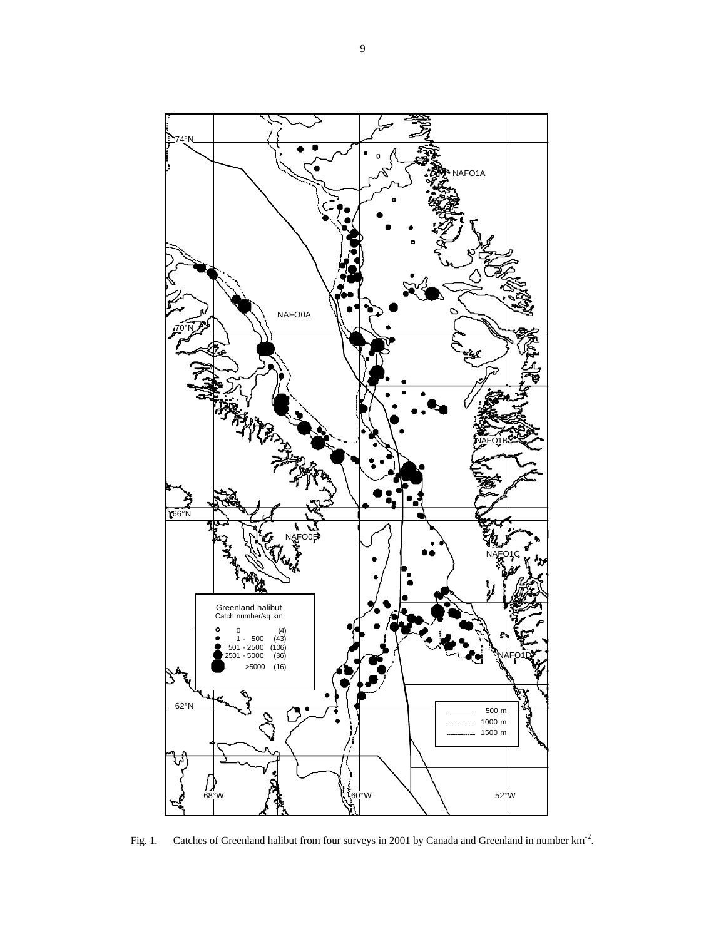

Fig. 1. Catches of Greenland halibut from four surveys in 2001 by Canada and Greenland in number  $km<sup>-2</sup>$ .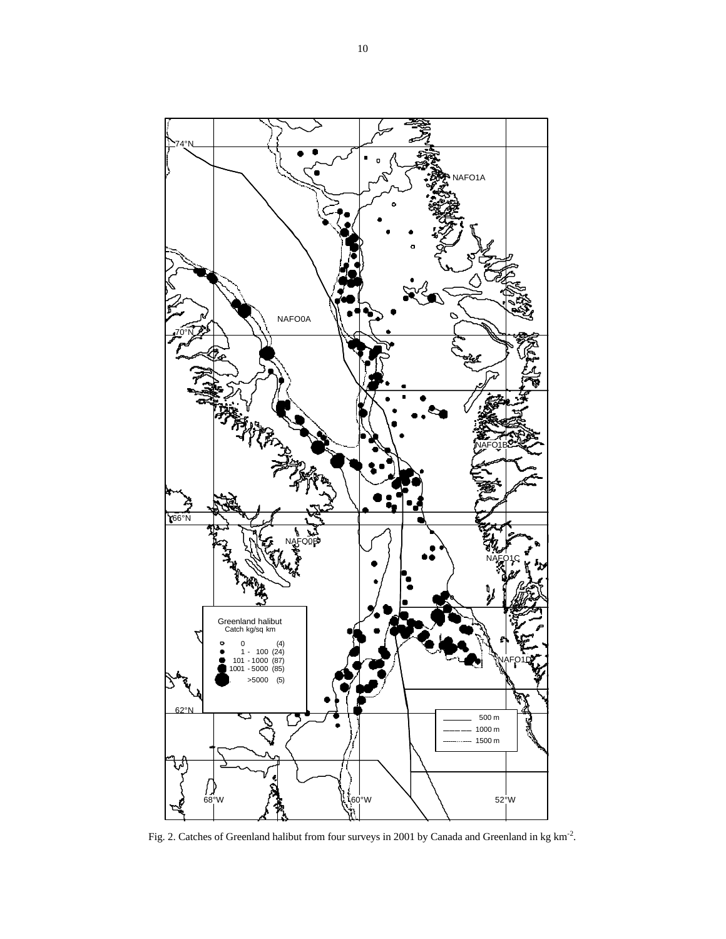

Fig. 2. Catches of Greenland halibut from four surveys in 2001 by Canada and Greenland in kg km<sup>-2</sup>.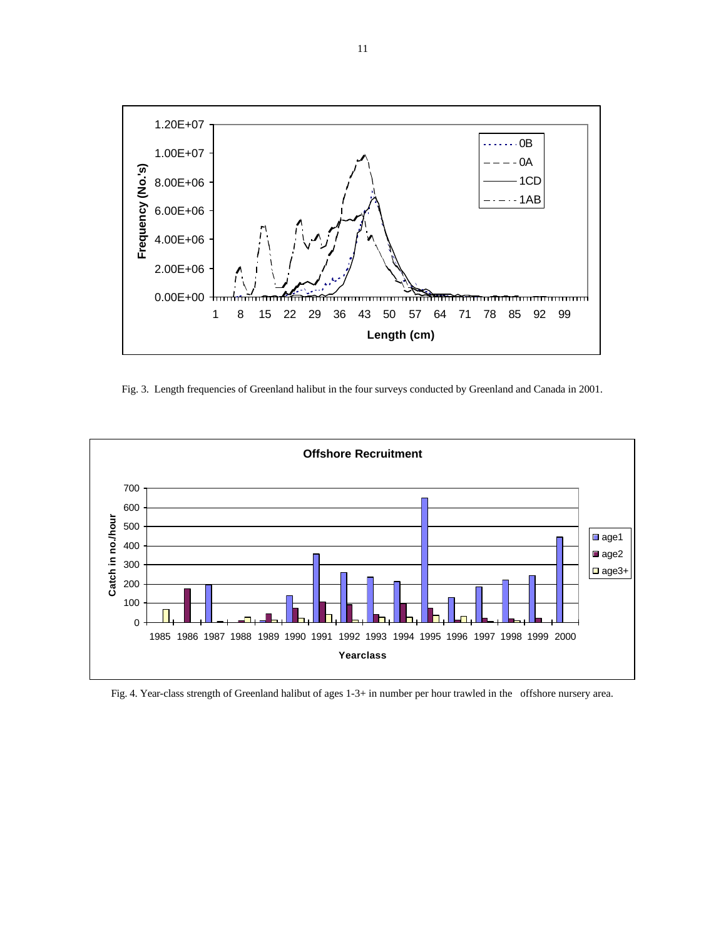

Fig. 3. Length frequencies of Greenland halibut in the four surveys conducted by Greenland and Canada in 2001.



Fig. 4. Year-class strength of Greenland halibut of ages 1-3+ in number per hour trawled in the offshore nursery area.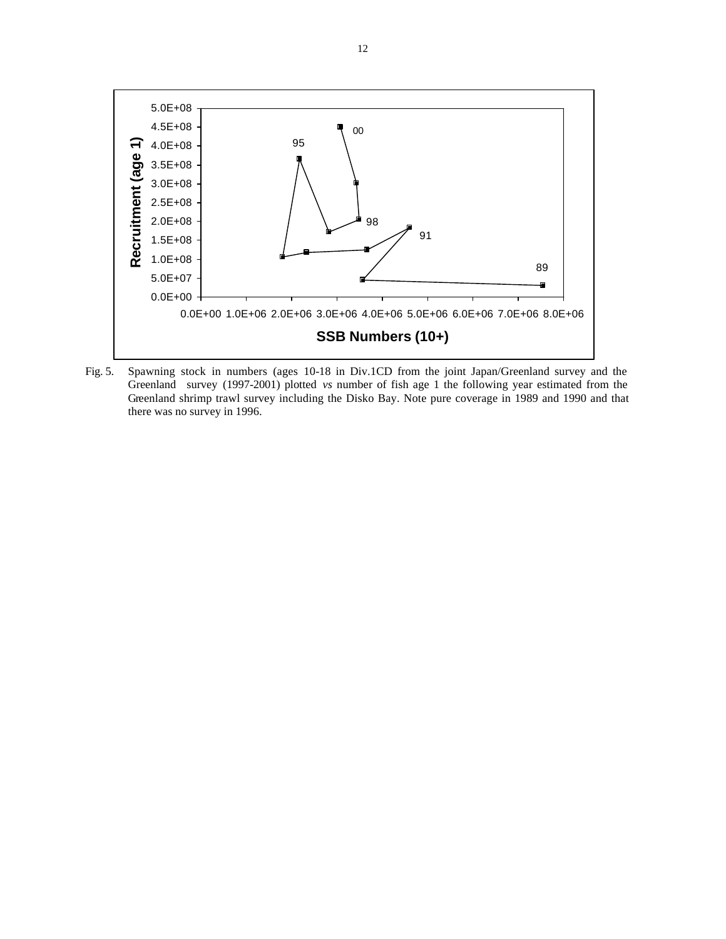

Fig. 5. Spawning stock in numbers (ages 10-18 in Div.1CD from the joint Japan/Greenland survey and the Greenland survey (1997-2001) plotted *vs* number of fish age 1 the following year estimated from the Greenland shrimp trawl survey including the Disko Bay. Note pure coverage in 1989 and 1990 and that there was no survey in 1996.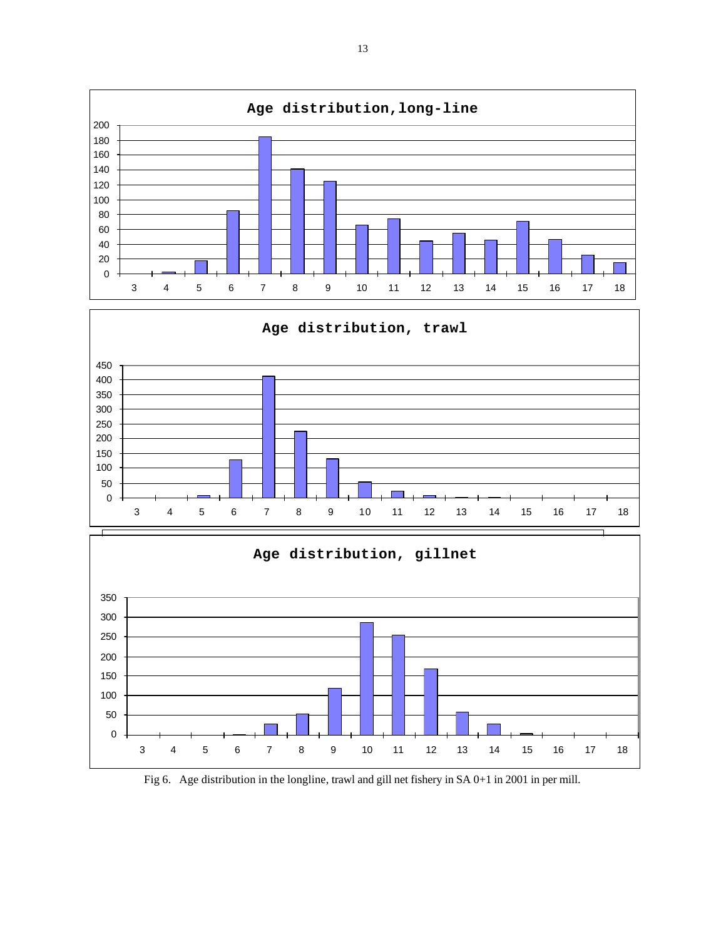

Fig 6. Age distribution in the longline, trawl and gill net fishery in SA 0+1 in 2001 in per mill.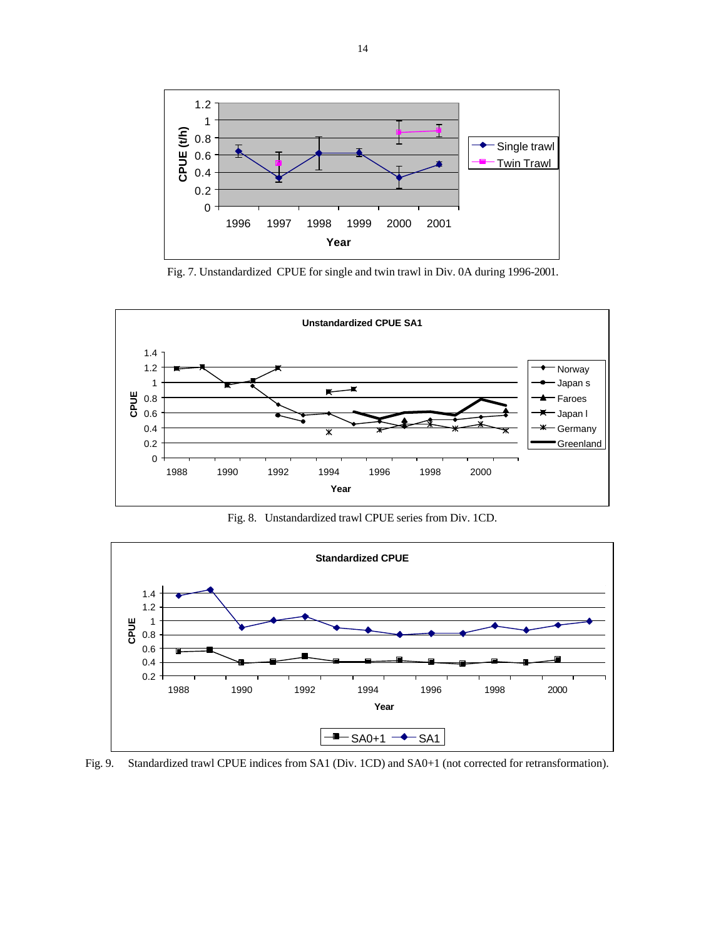

Fig. 7. Unstandardized CPUE for single and twin trawl in Div. 0A during 1996-2001.



Fig. 8. Unstandardized trawl CPUE series from Div. 1CD.



Fig. 9. Standardized trawl CPUE indices from SA1 (Div. 1CD) and SA0+1 (not corrected for retransformation).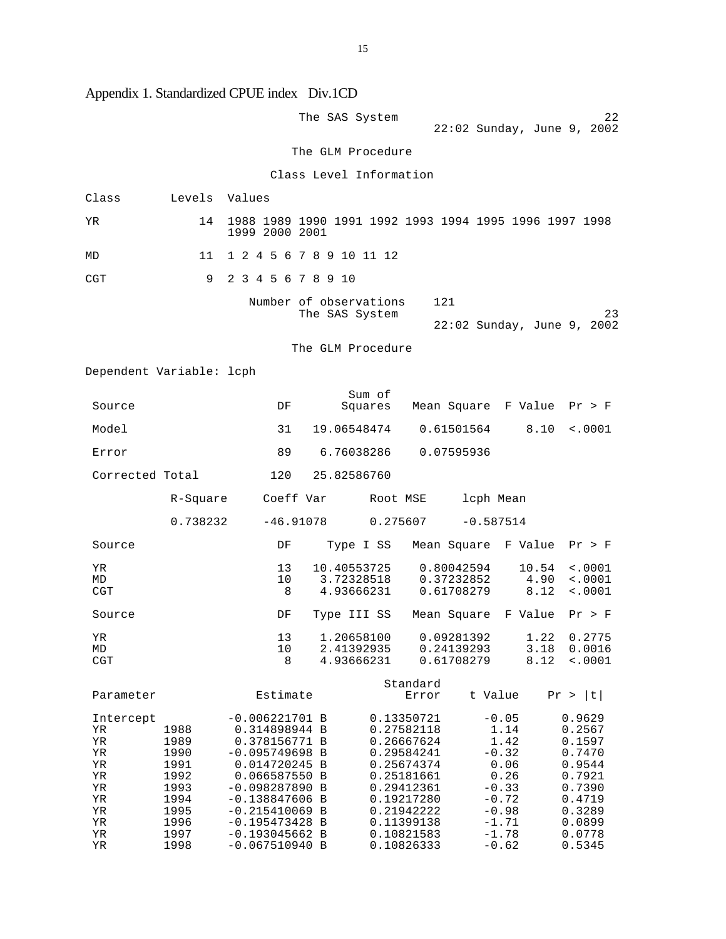Appendix 1. Standardized CPUE index Div.1CD

|                                                                             |                                                                                      |                                                                                                                                                                                                                              |             | The SAS System                                                   |                                                                                                                                                                      |                                                                                                                      |                       | 22<br>22:02 Sunday, June 9, 2002                                                                                     |
|-----------------------------------------------------------------------------|--------------------------------------------------------------------------------------|------------------------------------------------------------------------------------------------------------------------------------------------------------------------------------------------------------------------------|-------------|------------------------------------------------------------------|----------------------------------------------------------------------------------------------------------------------------------------------------------------------|----------------------------------------------------------------------------------------------------------------------|-----------------------|----------------------------------------------------------------------------------------------------------------------|
|                                                                             |                                                                                      |                                                                                                                                                                                                                              |             | The GLM Procedure                                                |                                                                                                                                                                      |                                                                                                                      |                       |                                                                                                                      |
|                                                                             |                                                                                      |                                                                                                                                                                                                                              |             | Class Level Information                                          |                                                                                                                                                                      |                                                                                                                      |                       |                                                                                                                      |
| Class                                                                       | Levels Values                                                                        |                                                                                                                                                                                                                              |             |                                                                  |                                                                                                                                                                      |                                                                                                                      |                       |                                                                                                                      |
| YR.                                                                         | 14                                                                                   | 1988 1989 1990 1991 1992 1993 1994 1995 1996 1997 1998<br>1999 2000 2001                                                                                                                                                     |             |                                                                  |                                                                                                                                                                      |                                                                                                                      |                       |                                                                                                                      |
| MD                                                                          | 11                                                                                   | 1 2 4 5 6 7 8 9 10 11 12                                                                                                                                                                                                     |             |                                                                  |                                                                                                                                                                      |                                                                                                                      |                       |                                                                                                                      |
| CGT                                                                         | 9                                                                                    | 2 3 4 5 6 7 8 9 10                                                                                                                                                                                                           |             |                                                                  |                                                                                                                                                                      |                                                                                                                      |                       |                                                                                                                      |
|                                                                             |                                                                                      |                                                                                                                                                                                                                              |             | Number of observations<br>The SAS System                         | 121                                                                                                                                                                  |                                                                                                                      |                       | 23<br>22:02 Sunday, June 9, 2002                                                                                     |
|                                                                             |                                                                                      |                                                                                                                                                                                                                              |             | The GLM Procedure                                                |                                                                                                                                                                      |                                                                                                                      |                       |                                                                                                                      |
| Dependent Variable: lcph                                                    |                                                                                      |                                                                                                                                                                                                                              |             |                                                                  |                                                                                                                                                                      |                                                                                                                      |                       |                                                                                                                      |
| Source                                                                      |                                                                                      | DF                                                                                                                                                                                                                           |             | Sum of<br>Squares Mean Square F Value                            |                                                                                                                                                                      |                                                                                                                      |                       | Pr > F                                                                                                               |
| Model                                                                       |                                                                                      | 31                                                                                                                                                                                                                           |             | 19.06548474   0.61501564                                         |                                                                                                                                                                      |                                                                                                                      | 8.10                  | $\sim 0001$                                                                                                          |
| Error                                                                       |                                                                                      | 89                                                                                                                                                                                                                           |             | 6.76038286   0.07595936                                          |                                                                                                                                                                      |                                                                                                                      |                       |                                                                                                                      |
| Corrected Total                                                             |                                                                                      | 120                                                                                                                                                                                                                          |             | 25.82586760                                                      |                                                                                                                                                                      |                                                                                                                      |                       |                                                                                                                      |
|                                                                             | R-Square                                                                             |                                                                                                                                                                                                                              | Coeff Var   |                                                                  | Root MSE                                                                                                                                                             | lcph Mean                                                                                                            |                       |                                                                                                                      |
|                                                                             | 0.738232                                                                             |                                                                                                                                                                                                                              | $-46.91078$ |                                                                  |                                                                                                                                                                      | $0.275607 -0.587514$                                                                                                 |                       |                                                                                                                      |
| Source                                                                      |                                                                                      | DF                                                                                                                                                                                                                           |             | Type I SS Mean Square F Value                                    |                                                                                                                                                                      |                                                                                                                      |                       | Pr > F                                                                                                               |
| YR<br>MD<br>CGT                                                             |                                                                                      | 13<br>10<br>8                                                                                                                                                                                                                |             | 10.40553725<br>3.72328518<br>4.93666231                          |                                                                                                                                                                      | 0.80042594<br>0.37232852<br>0.61708279                                                                               | 10.54<br>4.90<br>8.12 | $\sim 0001$<br>< .0001<br>< .0001                                                                                    |
| Source                                                                      |                                                                                      | DF                                                                                                                                                                                                                           |             | Type III SS Mean Square F Value                                  |                                                                                                                                                                      |                                                                                                                      |                       | Pr > F                                                                                                               |
| ΥR<br>MD<br><b>CGT</b>                                                      |                                                                                      | 13<br>10<br>8                                                                                                                                                                                                                |             | 1.20658100  0.09281392  1.22  0.2775<br>2.41392935<br>4.93666231 | 0.24139293<br>0.61708279                                                                                                                                             |                                                                                                                      | 3.18<br>8.12          | 0.0016<br>< .0001                                                                                                    |
| Parameter                                                                   |                                                                                      | Estimate                                                                                                                                                                                                                     |             |                                                                  | Standard<br>Error                                                                                                                                                    | t Value                                                                                                              |                       | Pr >  t                                                                                                              |
| Intercept<br>ΥR<br>ΥR<br>ΥR<br>ΥR<br>ΥR<br>ΥR<br>ΥR<br>ΥR<br>ΥR<br>ΥR<br>ΥR | 1988<br>1989<br>1990<br>1991<br>1992<br>1993<br>1994<br>1995<br>1996<br>1997<br>1998 | $-0.006221701$ B<br>0.314898944 B<br>0.378156771 B<br>$-0.095749698$<br>0.014720245 B<br>0.066587550 B<br>$-0.098287890 B$<br>$-0.138847606$ B<br>$-0.215410069$ B<br>-0.195473428 B<br>$-0.193045662 B$<br>$-0.067510940$ B | B           |                                                                  | 0.13350721<br>0.27582118<br>0.26667624<br>0.29584241<br>0.25674374<br>0.25181661<br>0.29412361<br>0.19217280<br>0.21942222<br>0.11399138<br>0.10821583<br>0.10826333 | $-0.05$<br>1.14<br>1.42<br>$-0.32$<br>0.06<br>0.26<br>$-0.33$<br>$-0.72$<br>$-0.98$<br>$-1.71$<br>$-1.78$<br>$-0.62$ |                       | 0.9629<br>0.2567<br>0.1597<br>0.7470<br>0.9544<br>0.7921<br>0.7390<br>0.4719<br>0.3289<br>0.0899<br>0.0778<br>0.5345 |